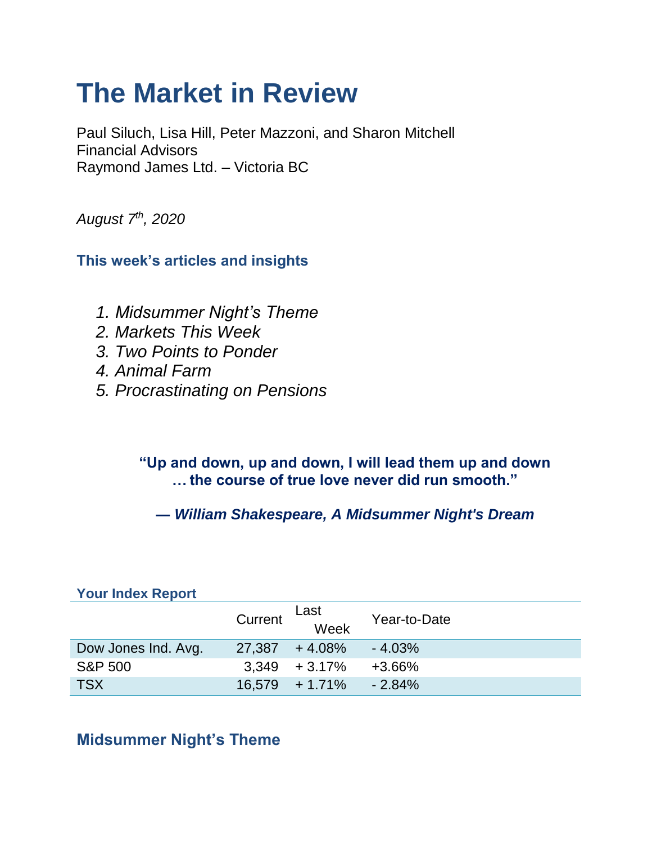# **The Market in Review**

Paul Siluch, Lisa Hill, Peter Mazzoni, and Sharon Mitchell Financial Advisors Raymond James Ltd. – Victoria BC

*August 7th, 2020*

**This week's articles and insights**

- *1. Midsummer Night's Theme*
- *2. Markets This Week*
- *3. Two Points to Ponder*
- *4. Animal Farm*
- *5. Procrastinating on Pensions*

**"Up and down, up and down, I will lead them up and down … the course of true love never did run smooth."**

**―** *William Shakespeare, A Midsummer Night's Dream*

| <b>Your Index Report</b> |         |                   |              |  |
|--------------------------|---------|-------------------|--------------|--|
|                          | Current | Last<br>Week      | Year-to-Date |  |
| Dow Jones Ind. Avg.      |         | $27,387 + 4.08\%$ | $-4.03%$     |  |
| <b>S&amp;P 500</b>       |         | $3,349 + 3.17\%$  | +3.66%       |  |
| <b>TSX</b>               |         | $16,579 + 1.71\%$ | $-2.84%$     |  |

### **Midsummer Night's Theme**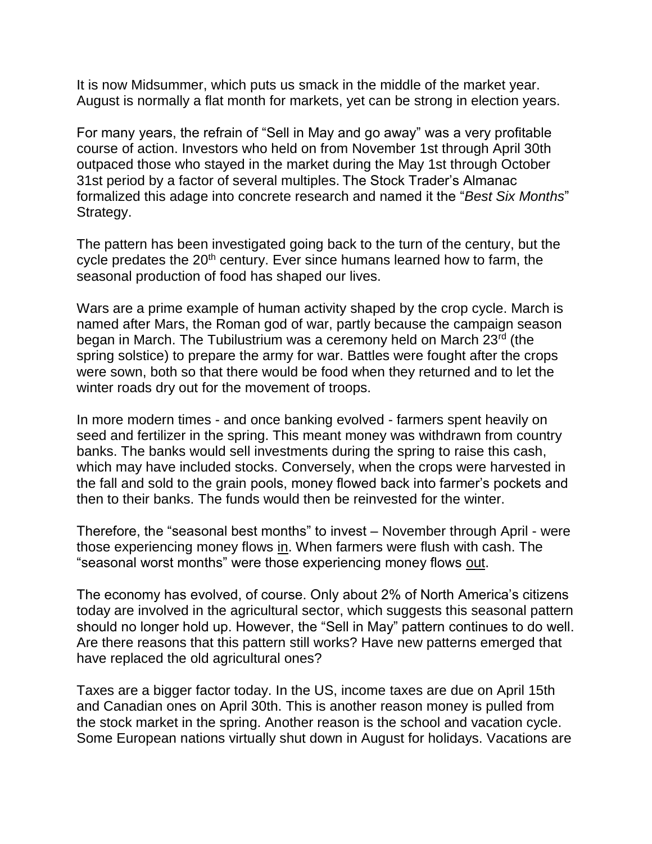It is now Midsummer, which puts us smack in the middle of the market year. August is normally a flat month for markets, yet can be strong in election years.

For many years, the refrain of "Sell in May and go away" was a very profitable course of action. Investors who held on from November 1st through April 30th outpaced those who stayed in the market during the May 1st through October 31st period by a factor of several multiples. The Stock Trader's Almanac formalized this adage into concrete research and named it the "*Best Six Months*" Strategy.

The pattern has been investigated going back to the turn of the century, but the cycle predates the 20<sup>th</sup> century. Ever since humans learned how to farm, the seasonal production of food has shaped our lives.

Wars are a prime example of human activity shaped by the crop cycle. March is named after Mars, the Roman god of war, partly because the campaign season began in March. The Tubilustrium was a ceremony held on March 23<sup>rd</sup> (the spring solstice) to prepare the army for war. Battles were fought after the crops were sown, both so that there would be food when they returned and to let the winter roads dry out for the movement of troops.

In more modern times - and once banking evolved - farmers spent heavily on seed and fertilizer in the spring. This meant money was withdrawn from country banks. The banks would sell investments during the spring to raise this cash, which may have included stocks. Conversely, when the crops were harvested in the fall and sold to the grain pools, money flowed back into farmer's pockets and then to their banks. The funds would then be reinvested for the winter.

Therefore, the "seasonal best months" to invest – November through April - were those experiencing money flows in. When farmers were flush with cash. The "seasonal worst months" were those experiencing money flows out.

The economy has evolved, of course. Only about 2% of North America's citizens today are involved in the agricultural sector, which suggests this seasonal pattern should no longer hold up. However, the "Sell in May" pattern continues to do well. Are there reasons that this pattern still works? Have new patterns emerged that have replaced the old agricultural ones?

Taxes are a bigger factor today. In the US, income taxes are due on April 15th and Canadian ones on April 30th. This is another reason money is pulled from the stock market in the spring. Another reason is the school and vacation cycle. Some European nations virtually shut down in August for holidays. Vacations are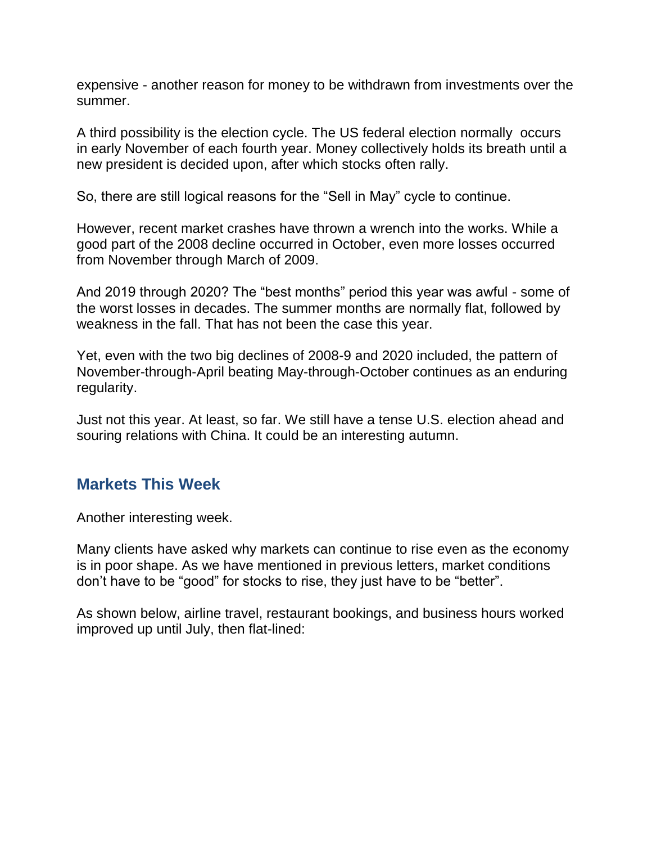expensive - another reason for money to be withdrawn from investments over the summer.

A third possibility is the election cycle. The US federal election normally occurs in early November of each fourth year. Money collectively holds its breath until a new president is decided upon, after which stocks often rally.

So, there are still logical reasons for the "Sell in May" cycle to continue.

However, recent market crashes have thrown a wrench into the works. While a good part of the 2008 decline occurred in October, even more losses occurred from November through March of 2009.

And 2019 through 2020? The "best months" period this year was awful - some of the worst losses in decades. The summer months are normally flat, followed by weakness in the fall. That has not been the case this year.

Yet, even with the two big declines of 2008-9 and 2020 included, the pattern of November-through-April beating May-through-October continues as an enduring regularity.

Just not this year. At least, so far. We still have a tense U.S. election ahead and souring relations with China. It could be an interesting autumn.

### **Markets This Week**

Another interesting week.

Many clients have asked why markets can continue to rise even as the economy is in poor shape. As we have mentioned in previous letters, market conditions don't have to be "good" for stocks to rise, they just have to be "better".

As shown below, airline travel, restaurant bookings, and business hours worked improved up until July, then flat-lined: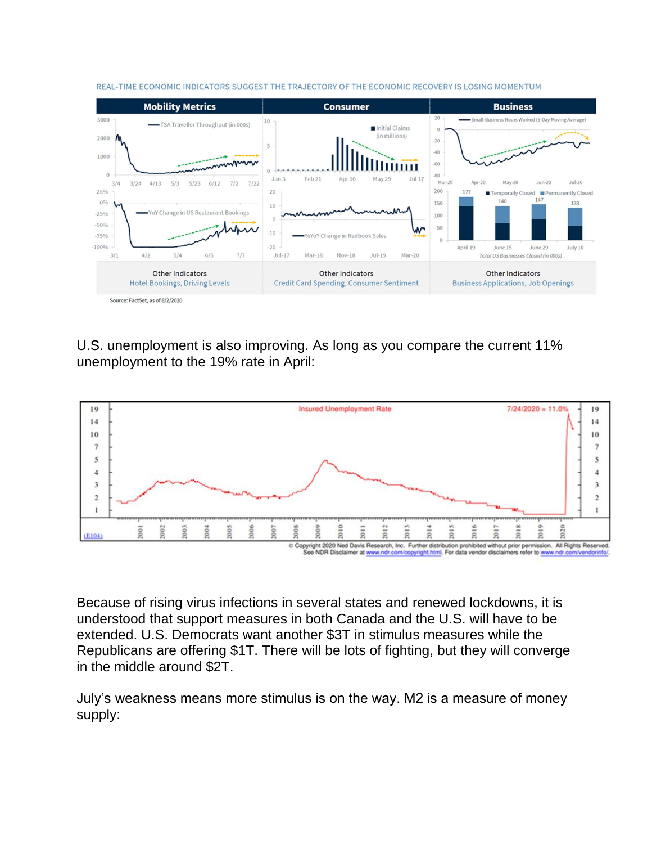

REAL-TIME ECONOMIC INDICATORS SUGGEST THE TRAJECTORY OF THE ECONOMIC RECOVERY IS LOSING MOMENTUM

U.S. unemployment is also improving. As long as you compare the current 11% unemployment to the 19% rate in April:



Because of rising virus infections in several states and renewed lockdowns, it is understood that support measures in both Canada and the U.S. will have to be extended. U.S. Democrats want another \$3T in stimulus measures while the Republicans are offering \$1T. There will be lots of fighting, but they will converge in the middle around \$2T.

July's weakness means more stimulus is on the way. M2 is a measure of money supply: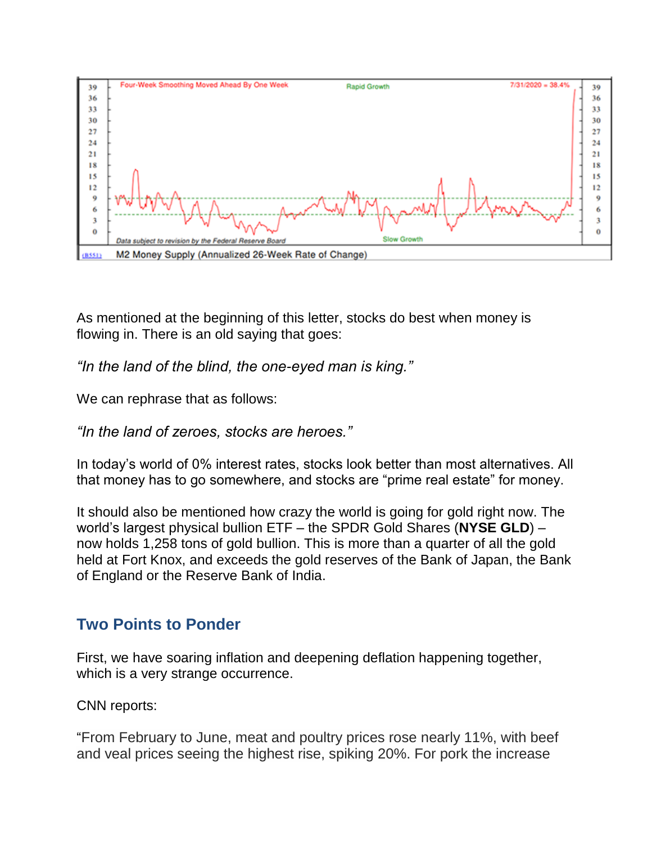

As mentioned at the beginning of this letter, stocks do best when money is flowing in. There is an old saying that goes:

*"In the land of the blind, the one-eyed man is king."*

We can rephrase that as follows:

*"In the land of zeroes, stocks are heroes."*

In today's world of 0% interest rates, stocks look better than most alternatives. All that money has to go somewhere, and stocks are "prime real estate" for money.

It should also be mentioned how crazy the world is going for gold right now. The world's largest physical bullion ETF – the SPDR Gold Shares (**NYSE GLD**) – now holds 1,258 tons of gold bullion. This is more than a quarter of all the gold held at Fort Knox, and exceeds the gold reserves of the Bank of Japan, the Bank of England or the Reserve Bank of India.

### **Two Points to Ponder**

First, we have soaring inflation and deepening deflation happening together, which is a very strange occurrence.

CNN reports:

"From February to June, meat and poultry prices rose nearly 11%, with beef and veal prices seeing the highest rise, spiking 20%. For pork the increase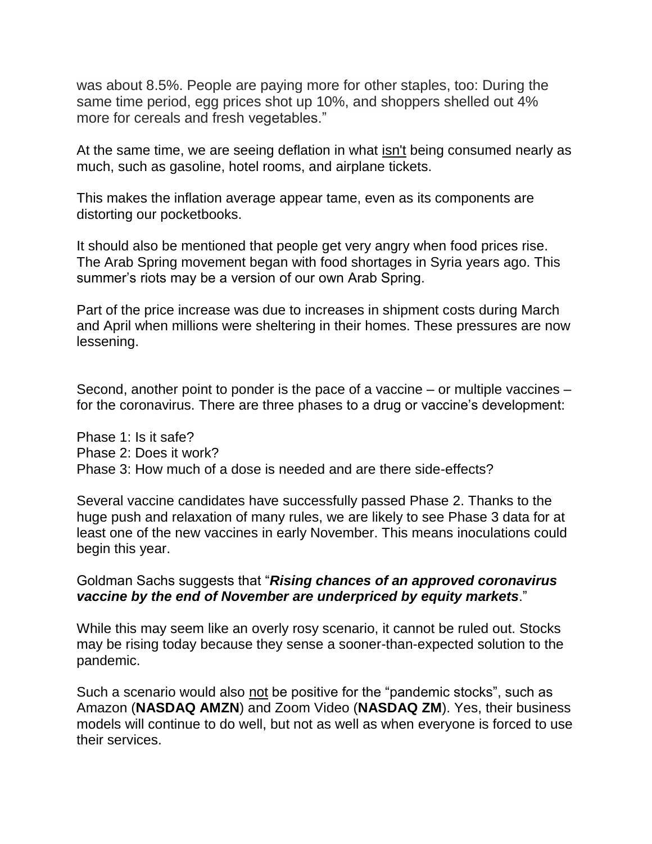was about 8.5%. People are paying more for other staples, too: During the same time period, egg prices shot up 10%, and shoppers shelled out 4% more for cereals and fresh vegetables."

At the same time, we are seeing deflation in what isn't being consumed nearly as much, such as gasoline, hotel rooms, and airplane tickets.

This makes the inflation average appear tame, even as its components are distorting our pocketbooks.

It should also be mentioned that people get very angry when food prices rise. The Arab Spring movement began with food shortages in Syria years ago. This summer's riots may be a version of our own Arab Spring.

Part of the price increase was due to increases in shipment costs during March and April when millions were sheltering in their homes. These pressures are now lessening.

Second, another point to ponder is the pace of a vaccine – or multiple vaccines – for the coronavirus. There are three phases to a drug or vaccine's development:

Phase 1: Is it safe? Phase 2: Does it work? Phase 3: How much of a dose is needed and are there side-effects?

Several vaccine candidates have successfully passed Phase 2. Thanks to the huge push and relaxation of many rules, we are likely to see Phase 3 data for at least one of the new vaccines in early November. This means inoculations could begin this year.

Goldman Sachs suggests that "*Rising chances of an approved coronavirus vaccine by the end of November are underpriced by equity markets*."

While this may seem like an overly rosy scenario, it cannot be ruled out. Stocks may be rising today because they sense a sooner-than-expected solution to the pandemic.

Such a scenario would also not be positive for the "pandemic stocks", such as Amazon (**NASDAQ AMZN**) and Zoom Video (**NASDAQ ZM**). Yes, their business models will continue to do well, but not as well as when everyone is forced to use their services.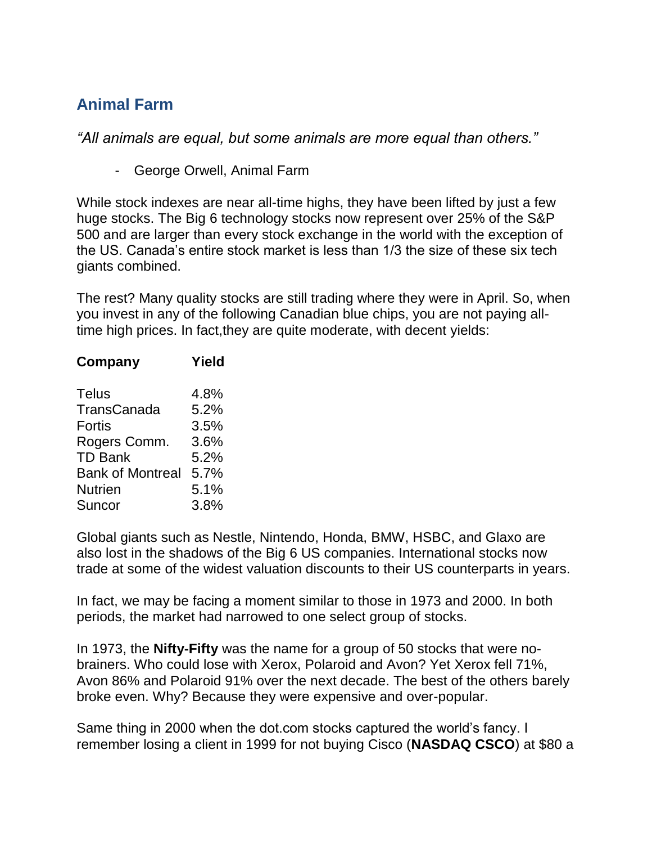### **Animal Farm**

*"All animals are equal, but some animals are more equal than others."*

- George Orwell, Animal Farm

While stock indexes are near all-time highs, they have been lifted by just a few huge stocks. The Big 6 technology stocks now represent over 25% of the S&P 500 and are larger than every stock exchange in the world with the exception of the US. Canada's entire stock market is less than 1/3 the size of these six tech giants combined.

The rest? Many quality stocks are still trading where they were in April. So, when you invest in any of the following Canadian blue chips, you are not paying alltime high prices. In fact,they are quite moderate, with decent yields:

| Yield |
|-------|
| 4.8%  |
| 5.2%  |
| 3.5%  |
| 3.6%  |
| 5.2%  |
| 5.7%  |
| 5.1%  |
| 3.8%  |
|       |

Global giants such as Nestle, Nintendo, Honda, BMW, HSBC, and Glaxo are also lost in the shadows of the Big 6 US companies. International stocks now trade at some of the widest valuation discounts to their US counterparts in years.

In fact, we may be facing a moment similar to those in 1973 and 2000. In both periods, the market had narrowed to one select group of stocks.

In 1973, the **Nifty-Fifty** was the name for a group of 50 stocks that were nobrainers. Who could lose with Xerox, Polaroid and Avon? Yet Xerox fell 71%, Avon 86% and Polaroid 91% over the next decade. The best of the others barely broke even. Why? Because they were expensive and over-popular.

Same thing in 2000 when the dot.com stocks captured the world's fancy. I remember losing a client in 1999 for not buying Cisco (**NASDAQ CSCO**) at \$80 a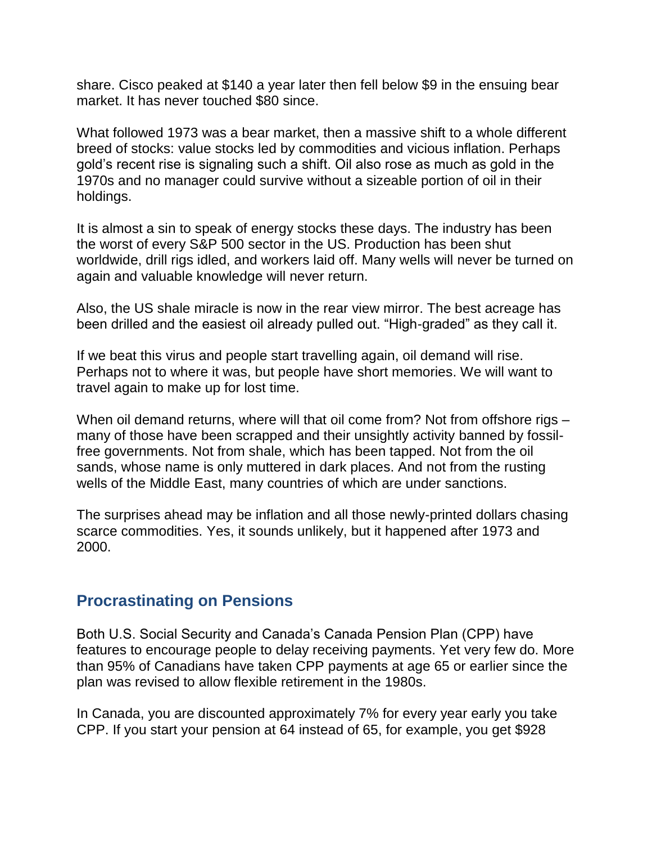share. Cisco peaked at \$140 a year later then fell below \$9 in the ensuing bear market. It has never touched \$80 since.

What followed 1973 was a bear market, then a massive shift to a whole different breed of stocks: value stocks led by commodities and vicious inflation. Perhaps gold's recent rise is signaling such a shift. Oil also rose as much as gold in the 1970s and no manager could survive without a sizeable portion of oil in their holdings.

It is almost a sin to speak of energy stocks these days. The industry has been the worst of every S&P 500 sector in the US. Production has been shut worldwide, drill rigs idled, and workers laid off. Many wells will never be turned on again and valuable knowledge will never return.

Also, the US shale miracle is now in the rear view mirror. The best acreage has been drilled and the easiest oil already pulled out. "High-graded" as they call it.

If we beat this virus and people start travelling again, oil demand will rise. Perhaps not to where it was, but people have short memories. We will want to travel again to make up for lost time.

When oil demand returns, where will that oil come from? Not from offshore rigs many of those have been scrapped and their unsightly activity banned by fossilfree governments. Not from shale, which has been tapped. Not from the oil sands, whose name is only muttered in dark places. And not from the rusting wells of the Middle East, many countries of which are under sanctions.

The surprises ahead may be inflation and all those newly-printed dollars chasing scarce commodities. Yes, it sounds unlikely, but it happened after 1973 and 2000.

### **Procrastinating on Pensions**

Both U.S. Social Security and Canada's Canada Pension Plan (CPP) have features to encourage people to delay receiving payments. Yet very few do. More than 95% of Canadians have taken CPP payments at age 65 or earlier since the plan was revised to allow flexible retirement in the 1980s.

In Canada, you are discounted approximately 7% for every year early you take CPP. If you start your pension at 64 instead of 65, for example, you get \$928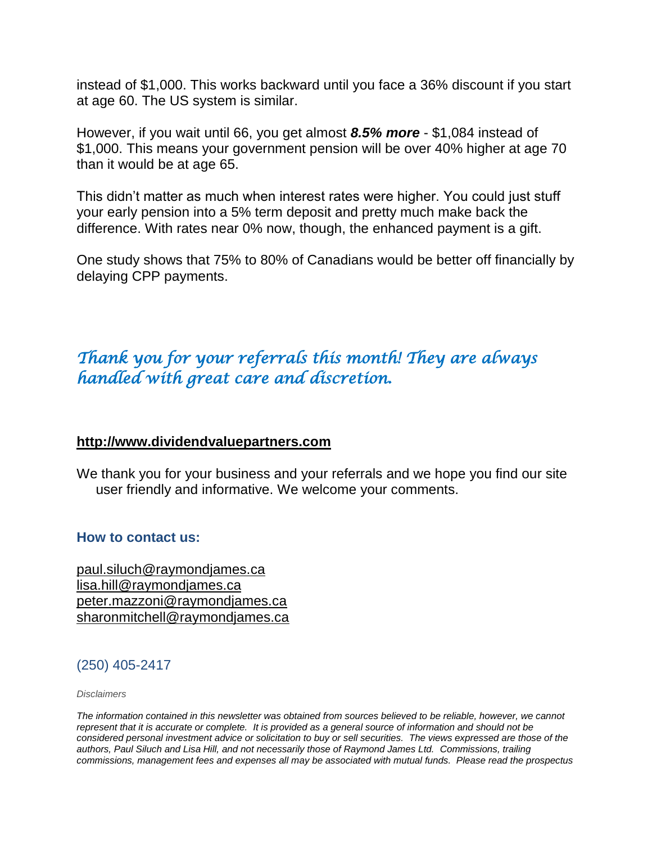instead of \$1,000. This works backward until you face a 36% discount if you start at age 60. The US system is similar.

However, if you wait until 66, you get almost *8.5% more* - \$1,084 instead of \$1,000. This means your government pension will be over 40% higher at age 70 than it would be at age 65.

This didn't matter as much when interest rates were higher. You could just stuff your early pension into a 5% term deposit and pretty much make back the difference. With rates near 0% now, though, the enhanced payment is a gift.

One study shows that 75% to 80% of Canadians would be better off financially by delaying CPP payments.

## *Thank you for your referrals this month! They are always handled with great care and discretion.*

#### **[http://www.dividendvaluepartners.com](https://urldefense.proofpoint.com/v2/url?u=http-3A__www.dividendvaluepartners.com&d=DwMFAw&c=K3dQCUGiI1B95NJ6cl3GoyhMW2dvBOfimZA-83UXll0&r=_6MBBSGYsFznIBwslhTiqBKEz4pHUCTd_9tbh_EpUMY&m=scBAtuMDuWZwK1IVr5YXjdB6aRS-faGHAMq3jOn6sJU&s=enZqe4ZgcjH_33x5dT-vZq9A37d4AhNkXvjc6AbmYww&e=)**

We thank you for your business and your referrals and we hope you find our site user friendly and informative. We welcome your comments.

#### **How to contact us:**

[paul.siluch@raymondjames.ca](https://owa-kel.raymondjames.ca/owa/redir.aspx?SURL=z0BxOCXDlQ-Aad1f_a9igaARxm5Rd1VXE7UcmD4mZ3IZiacj7DPTCG0AYQBpAGwAdABvADoAcABhAHUAbAAuAHMAaQBsAHUAYwBoAEAAcgBhAHkAbQBvAG4AZABqAGEAbQBlAHMALgBjAGEA&URL=mailto%3apaul.siluch%40raymondjames.ca) [lisa.hill@raymondjames.ca](https://owa-kel.raymondjames.ca/owa/redir.aspx?SURL=glaBgdTdxPMFpiw4eumg-PzZXpo9vJyObrXLs1TKtIAZiacj7DPTCG0AYQBpAGwAdABvADoAbABpAHMAYQAuAGgAaQBsAGwAQAByAGEAeQBtAG8AbgBkAGoAYQBtAGUAcwAuAGMAYQA.&URL=mailto%3alisa.hill%40raymondjames.ca) [peter.mazzoni@raymondjames.ca](https://owa-kel.raymondjames.ca/owa/redir.aspx?SURL=3c7mDL9-cZxYXt7CvkOu20QVFy1WCaDQxUZ3BQE6vecZiacj7DPTCG0AYQBpAGwAdABvADoAcABlAHQAZQByAC4AbQBhAHoAegBvAG4AaQBAAHIAYQB5AG0AbwBuAGQAagBhAG0AZQBzAC4AYwBhAA..&URL=mailto%3apeter.mazzoni%40raymondjames.ca) [sharonmitchell@raymondjames.ca](mailto:sharonmitchell@raymondjames.ca)

#### (250) 405-2417

#### *Disclaimers*

*[The information contained in this newsletter was obtained from sources believed to be reliable, however, we cannot](https://owa-kel.raymondjames.ca/owa/redir.aspx?SURL=z0BxOCXDlQ-Aad1f_a9igaARxm5Rd1VXE7UcmD4mZ3IZiacj7DPTCG0AYQBpAGwAdABvADoAcABhAHUAbAAuAHMAaQBsAHUAYwBoAEAAcgBhAHkAbQBvAG4AZABqAGEAbQBlAHMALgBjAGEA&URL=mailto%3apaul.siluch%40raymondjames.ca)  represent that it is accurate or complete. [It is provided as a general source of information and should not be](https://owa-kel.raymondjames.ca/owa/redir.aspx?SURL=z0BxOCXDlQ-Aad1f_a9igaARxm5Rd1VXE7UcmD4mZ3IZiacj7DPTCG0AYQBpAGwAdABvADoAcABhAHUAbAAuAHMAaQBsAHUAYwBoAEAAcgBhAHkAbQBvAG4AZABqAGEAbQBlAHMALgBjAGEA&URL=mailto%3apaul.siluch%40raymondjames.ca)  [considered personal investment advice or solicitation to buy or sell securities.](https://owa-kel.raymondjames.ca/owa/redir.aspx?SURL=z0BxOCXDlQ-Aad1f_a9igaARxm5Rd1VXE7UcmD4mZ3IZiacj7DPTCG0AYQBpAGwAdABvADoAcABhAHUAbAAuAHMAaQBsAHUAYwBoAEAAcgBhAHkAbQBvAG4AZABqAGEAbQBlAHMALgBjAGEA&URL=mailto%3apaul.siluch%40raymondjames.ca) The views expressed are those of the [authors, Paul Siluch and Lisa Hill, and not necessarily those of Raymond James Ltd.](https://owa-kel.raymondjames.ca/owa/redir.aspx?SURL=z0BxOCXDlQ-Aad1f_a9igaARxm5Rd1VXE7UcmD4mZ3IZiacj7DPTCG0AYQBpAGwAdABvADoAcABhAHUAbAAuAHMAaQBsAHUAYwBoAEAAcgBhAHkAbQBvAG4AZABqAGEAbQBlAHMALgBjAGEA&URL=mailto%3apaul.siluch%40raymondjames.ca) Commissions, trailing [commissions, management fees and expenses all may be associated with mutual funds.](https://owa-kel.raymondjames.ca/owa/redir.aspx?SURL=z0BxOCXDlQ-Aad1f_a9igaARxm5Rd1VXE7UcmD4mZ3IZiacj7DPTCG0AYQBpAGwAdABvADoAcABhAHUAbAAuAHMAaQBsAHUAYwBoAEAAcgBhAHkAbQBvAG4AZABqAGEAbQBlAHMALgBjAGEA&URL=mailto%3apaul.siluch%40raymondjames.ca) Please read the prospectus*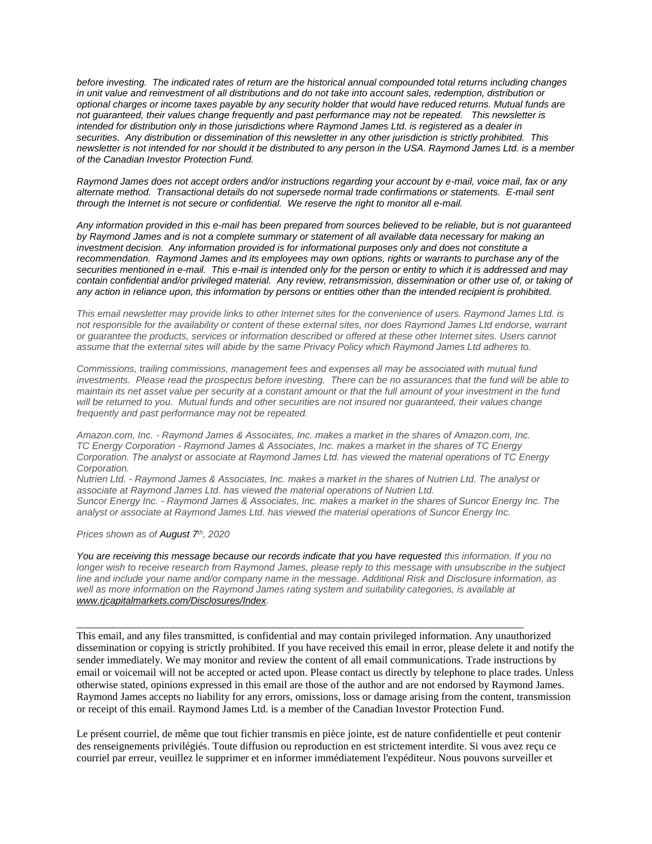*before investing. [The indicated rates of return are the historical annual compounded total returns including changes](https://owa-kel.raymondjames.ca/owa/redir.aspx?SURL=z0BxOCXDlQ-Aad1f_a9igaARxm5Rd1VXE7UcmD4mZ3IZiacj7DPTCG0AYQBpAGwAdABvADoAcABhAHUAbAAuAHMAaQBsAHUAYwBoAEAAcgBhAHkAbQBvAG4AZABqAGEAbQBlAHMALgBjAGEA&URL=mailto%3apaul.siluch%40raymondjames.ca)  [in unit value and reinvestment of all distributions and do not take into account sales, redemption, distribution or](https://owa-kel.raymondjames.ca/owa/redir.aspx?SURL=z0BxOCXDlQ-Aad1f_a9igaARxm5Rd1VXE7UcmD4mZ3IZiacj7DPTCG0AYQBpAGwAdABvADoAcABhAHUAbAAuAHMAaQBsAHUAYwBoAEAAcgBhAHkAbQBvAG4AZABqAGEAbQBlAHMALgBjAGEA&URL=mailto%3apaul.siluch%40raymondjames.ca)  [optional charges or income taxes payable by any security holder that would have reduced returns. Mutual funds are](https://owa-kel.raymondjames.ca/owa/redir.aspx?SURL=z0BxOCXDlQ-Aad1f_a9igaARxm5Rd1VXE7UcmD4mZ3IZiacj7DPTCG0AYQBpAGwAdABvADoAcABhAHUAbAAuAHMAaQBsAHUAYwBoAEAAcgBhAHkAbQBvAG4AZABqAGEAbQBlAHMALgBjAGEA&URL=mailto%3apaul.siluch%40raymondjames.ca)  [not guaranteed, their values change frequently and past performance may not be repeated.](https://owa-kel.raymondjames.ca/owa/redir.aspx?SURL=z0BxOCXDlQ-Aad1f_a9igaARxm5Rd1VXE7UcmD4mZ3IZiacj7DPTCG0AYQBpAGwAdABvADoAcABhAHUAbAAuAHMAaQBsAHUAYwBoAEAAcgBhAHkAbQBvAG4AZABqAGEAbQBlAHMALgBjAGEA&URL=mailto%3apaul.siluch%40raymondjames.ca) This newsletter is [intended for distribution only in those jurisdictions where Raymond James Ltd. is registered as a dealer in](https://owa-kel.raymondjames.ca/owa/redir.aspx?SURL=z0BxOCXDlQ-Aad1f_a9igaARxm5Rd1VXE7UcmD4mZ3IZiacj7DPTCG0AYQBpAGwAdABvADoAcABhAHUAbAAuAHMAaQBsAHUAYwBoAEAAcgBhAHkAbQBvAG4AZABqAGEAbQBlAHMALgBjAGEA&URL=mailto%3apaul.siluch%40raymondjames.ca)  securities. [Any distribution or dissemination of this newsletter in any other jurisdiction is strictly prohibited.](https://owa-kel.raymondjames.ca/owa/redir.aspx?SURL=z0BxOCXDlQ-Aad1f_a9igaARxm5Rd1VXE7UcmD4mZ3IZiacj7DPTCG0AYQBpAGwAdABvADoAcABhAHUAbAAuAHMAaQBsAHUAYwBoAEAAcgBhAHkAbQBvAG4AZABqAGEAbQBlAHMALgBjAGEA&URL=mailto%3apaul.siluch%40raymondjames.ca) This [newsletter is not intended for nor should it be distributed to any person in the USA. Raymond James Ltd. is a member](https://owa-kel.raymondjames.ca/owa/redir.aspx?SURL=z0BxOCXDlQ-Aad1f_a9igaARxm5Rd1VXE7UcmD4mZ3IZiacj7DPTCG0AYQBpAGwAdABvADoAcABhAHUAbAAuAHMAaQBsAHUAYwBoAEAAcgBhAHkAbQBvAG4AZABqAGEAbQBlAHMALgBjAGEA&URL=mailto%3apaul.siluch%40raymondjames.ca)  [of the Canadian Investor Protection Fund.](https://owa-kel.raymondjames.ca/owa/redir.aspx?SURL=z0BxOCXDlQ-Aad1f_a9igaARxm5Rd1VXE7UcmD4mZ3IZiacj7DPTCG0AYQBpAGwAdABvADoAcABhAHUAbAAuAHMAaQBsAHUAYwBoAEAAcgBhAHkAbQBvAG4AZABqAGEAbQBlAHMALgBjAGEA&URL=mailto%3apaul.siluch%40raymondjames.ca)* 

*Raymond James [does not accept orders and/or instructions regarding your account by e-mail, voice mail, fax or any](https://owa-kel.raymondjames.ca/owa/redir.aspx?SURL=z0BxOCXDlQ-Aad1f_a9igaARxm5Rd1VXE7UcmD4mZ3IZiacj7DPTCG0AYQBpAGwAdABvADoAcABhAHUAbAAuAHMAaQBsAHUAYwBoAEAAcgBhAHkAbQBvAG4AZABqAGEAbQBlAHMALgBjAGEA&URL=mailto%3apaul.siluch%40raymondjames.ca)  alternate method. [Transactional details do not supersede normal trade confirmations or statements.](https://owa-kel.raymondjames.ca/owa/redir.aspx?SURL=z0BxOCXDlQ-Aad1f_a9igaARxm5Rd1VXE7UcmD4mZ3IZiacj7DPTCG0AYQBpAGwAdABvADoAcABhAHUAbAAuAHMAaQBsAHUAYwBoAEAAcgBhAHkAbQBvAG4AZABqAGEAbQBlAHMALgBjAGEA&URL=mailto%3apaul.siluch%40raymondjames.ca) E-mail sent [through the Internet is not secure or confidential.](https://owa-kel.raymondjames.ca/owa/redir.aspx?SURL=z0BxOCXDlQ-Aad1f_a9igaARxm5Rd1VXE7UcmD4mZ3IZiacj7DPTCG0AYQBpAGwAdABvADoAcABhAHUAbAAuAHMAaQBsAHUAYwBoAEAAcgBhAHkAbQBvAG4AZABqAGEAbQBlAHMALgBjAGEA&URL=mailto%3apaul.siluch%40raymondjames.ca) We reserve the right to monitor all e-mail.*

*[Any information provided in this e-mail has been prepared from sources believed to be reliable, but is not guaranteed](https://owa-kel.raymondjames.ca/owa/redir.aspx?SURL=z0BxOCXDlQ-Aad1f_a9igaARxm5Rd1VXE7UcmD4mZ3IZiacj7DPTCG0AYQBpAGwAdABvADoAcABhAHUAbAAuAHMAaQBsAHUAYwBoAEAAcgBhAHkAbQBvAG4AZABqAGEAbQBlAHMALgBjAGEA&URL=mailto%3apaul.siluch%40raymondjames.ca)  by Raymond James [and is not a complete summary or statement of all available data necessary for making an](https://owa-kel.raymondjames.ca/owa/redir.aspx?SURL=z0BxOCXDlQ-Aad1f_a9igaARxm5Rd1VXE7UcmD4mZ3IZiacj7DPTCG0AYQBpAGwAdABvADoAcABhAHUAbAAuAHMAaQBsAHUAYwBoAEAAcgBhAHkAbQBvAG4AZABqAGEAbQBlAHMALgBjAGEA&URL=mailto%3apaul.siluch%40raymondjames.ca)  investment decision. [Any information provided is for informational purposes only and does not constitute a](https://owa-kel.raymondjames.ca/owa/redir.aspx?SURL=z0BxOCXDlQ-Aad1f_a9igaARxm5Rd1VXE7UcmD4mZ3IZiacj7DPTCG0AYQBpAGwAdABvADoAcABhAHUAbAAuAHMAaQBsAHUAYwBoAEAAcgBhAHkAbQBvAG4AZABqAGEAbQBlAHMALgBjAGEA&URL=mailto%3apaul.siluch%40raymondjames.ca)  recommendation. Raymond James [and its employees may own options, rights or warrants to purchase any of the](https://owa-kel.raymondjames.ca/owa/redir.aspx?SURL=z0BxOCXDlQ-Aad1f_a9igaARxm5Rd1VXE7UcmD4mZ3IZiacj7DPTCG0AYQBpAGwAdABvADoAcABhAHUAbAAuAHMAaQBsAHUAYwBoAEAAcgBhAHkAbQBvAG4AZABqAGEAbQBlAHMALgBjAGEA&URL=mailto%3apaul.siluch%40raymondjames.ca)  securities mentioned in e-mail. [This e-mail is intended only for the person or entity to which it is addressed and may](https://owa-kel.raymondjames.ca/owa/redir.aspx?SURL=z0BxOCXDlQ-Aad1f_a9igaARxm5Rd1VXE7UcmD4mZ3IZiacj7DPTCG0AYQBpAGwAdABvADoAcABhAHUAbAAuAHMAaQBsAHUAYwBoAEAAcgBhAHkAbQBvAG4AZABqAGEAbQBlAHMALgBjAGEA&URL=mailto%3apaul.siluch%40raymondjames.ca)  contain confidential and/or privileged material. [Any review, retransmission, dissemination or other use of, or taking of](https://owa-kel.raymondjames.ca/owa/redir.aspx?SURL=z0BxOCXDlQ-Aad1f_a9igaARxm5Rd1VXE7UcmD4mZ3IZiacj7DPTCG0AYQBpAGwAdABvADoAcABhAHUAbAAuAHMAaQBsAHUAYwBoAEAAcgBhAHkAbQBvAG4AZABqAGEAbQBlAHMALgBjAGEA&URL=mailto%3apaul.siluch%40raymondjames.ca)  [any action in reliance upon, this information by persons or entities other than the intended recipient is prohibited.](https://owa-kel.raymondjames.ca/owa/redir.aspx?SURL=z0BxOCXDlQ-Aad1f_a9igaARxm5Rd1VXE7UcmD4mZ3IZiacj7DPTCG0AYQBpAGwAdABvADoAcABhAHUAbAAuAHMAaQBsAHUAYwBoAEAAcgBhAHkAbQBvAG4AZABqAGEAbQBlAHMALgBjAGEA&URL=mailto%3apaul.siluch%40raymondjames.ca)*

*This email newsletter may provide links to other Internet sites for the convenience of users. Raymond James Ltd. is not responsible for the availability or content of these external sites, nor does Raymond James Ltd endorse, warrant or guarantee the products, services or information described or offered at these other Internet sites. Users cannot assume that the external sites will abide by the same Privacy Policy which Raymond James Ltd adheres to.*

*Commissions, trailing commissions, management fees and expenses all may be associated with mutual fund investments. Please read the prospectus before investing. There can be no assurances that the fund will be able to maintain its net asset value per security at a constant amount or that the full amount of your investment in the fund will be returned to you. Mutual funds and other securities are not insured nor guaranteed, their values change frequently and past performance may not be repeated.*

*Amazon.com, Inc. - Raymond James & Associates, Inc. makes a market in the shares of Amazon.com, Inc. TC Energy Corporation - Raymond James & Associates, Inc. makes a market in the shares of TC Energy Corporation. The analyst or associate at Raymond James Ltd. has viewed the material operations of TC Energy Corporation.*

*Nutrien Ltd. - Raymond James & Associates, Inc. makes a market in the shares of Nutrien Ltd. The analyst or associate at Raymond James Ltd. has viewed the material operations of Nutrien Ltd. Suncor Energy Inc. - Raymond James & Associates, Inc. makes a market in the shares of Suncor Energy Inc. The analyst or associate at Raymond James Ltd. has viewed the material operations of Suncor Energy Inc.*

*Prices shown as of August 7th, 2020*

*You are receiving this message because our records indicate that you have requested this information. If you no longer wish to receive research from Raymond James, please reply to this message with unsubscribe in the subject line and include your name and/or company name in the message. Additional Risk and Disclosure information, as well as more information on the Raymond James rating system and suitability categories, is available at [www.rjcapitalmarkets.com/Disclosures/Index.](https://owa-kel.raymondjames.ca/owa/redir.aspx?SURL=xhOB4gpVfLOskwdkUL9L2f18Fq4IG2rgvMfuIIX7BlwZiacj7DPTCGgAdAB0AHAAOgAvAC8AdwB3AHcALgByAGoAYwBhAHAAaQB0AGEAbABtAGEAcgBrAGUAdABzAC4AYwBvAG0ALwBEAGkAcwBjAGwAbwBzAHUAcgBlAHMALwBJAG4AZABlAHgA&URL=http%3a%2f%2fwww.rjcapitalmarkets.com%2fDisclosures%2fIndex)*

\_\_\_\_\_\_\_\_\_\_\_\_\_\_\_\_\_\_\_\_\_\_\_\_\_\_\_\_\_\_\_\_\_\_\_\_\_\_\_\_\_\_\_\_\_\_\_\_\_\_\_\_\_\_\_\_\_\_\_\_\_\_\_\_\_\_\_\_\_\_\_\_\_\_\_\_\_\_\_\_\_\_\_\_

This email, and any files transmitted, is confidential and may contain privileged information. Any unauthorized dissemination or copying is strictly prohibited. If you have received this email in error, please delete it and notify the sender immediately. We may monitor and review the content of all email communications. Trade instructions by email or voicemail will not be accepted or acted upon. Please contact us directly by telephone to place trades. Unless otherwise stated, opinions expressed in this email are those of the author and are not endorsed by Raymond James. Raymond James accepts no liability for any errors, omissions, loss or damage arising from the content, transmission or receipt of this email. Raymond James Ltd. is a member of the Canadian Investor Protection Fund.

Le présent courriel, de même que tout fichier transmis en pièce jointe, est de nature confidentielle et peut contenir des renseignements privilégiés. Toute diffusion ou reproduction en est strictement interdite. Si vous avez reçu ce courriel par erreur, veuillez le supprimer et en informer immédiatement l'expéditeur. Nous pouvons surveiller et